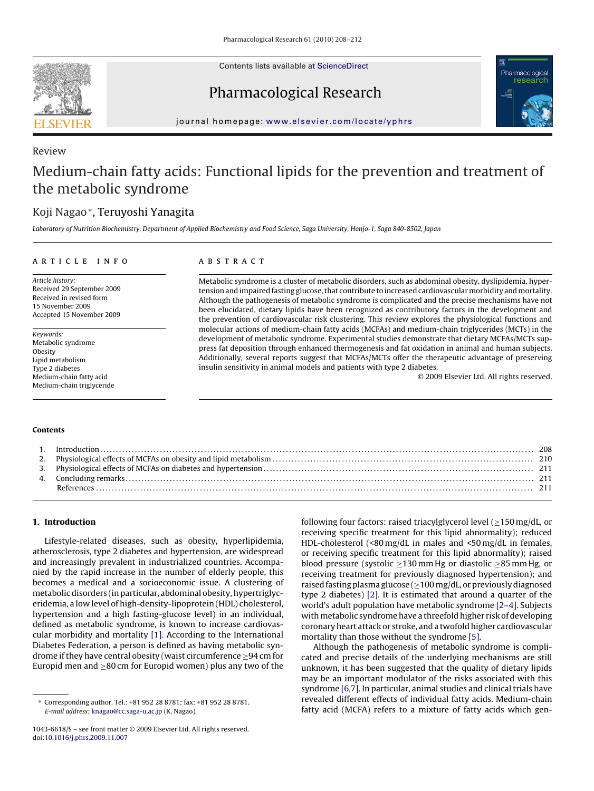

Contents lists available at [ScienceDirect](http://www.sciencedirect.com/science/journal/10436618)

Pharmacological Research



journal homepage: [www.elsevier.com/locate/yphrs](http://www.elsevier.com/locate/yphrs)

# Review

# Medium-chain fatty acids: Functional lipids for the prevention and treatment of the metabolic syndrome

# Koji Nagao∗, Teruyoshi Yanagita

Laboratory of Nutrition Biochemistry, Department of Applied Biochemistry and Food Science, Saga University, Honjo-1, Saga 840-8502, Japan

### article info

Article history: Received 29 September 2009 Received in revised form 15 November 2009 Accepted 15 November 2009

Keywords: Metabolic syndrome **Obesity** Lipid metabolism Type 2 diabetes Medium-chain fatty acid Medium-chain triglyceride

# **ABSTRACT**

Metabolic syndrome is a cluster of metabolic disorders, such as abdominal obesity, dyslipidemia, hypertension and impaired fasting glucose, that contribute to increased cardiovascular morbidity and mortality. Although the pathogenesis of metabolic syndrome is complicated and the precise mechanisms have not been elucidated, dietary lipids have been recognized as contributory factors in the development and the prevention of cardiovascular risk clustering. This review explores the physiological functions and molecular actions of medium-chain fatty acids (MCFAs) and medium-chain triglycerides (MCTs) in the development of metabolic syndrome. Experimental studies demonstrate that dietary MCFAs/MCTs suppress fat deposition through enhanced thermogenesis and fat oxidation in animal and human subjects. Additionally, several reports suggest that MCFAs/MCTs offer the therapeutic advantage of preserving insulin sensitivity in animal models and patients with type 2 diabetes.

© 2009 Elsevier Ltd. All rights reserved.

#### **Contents**

## **1. Introduction**

Lifestyle-related diseases, such as obesity, hyperlipidemia, atherosclerosis, type 2 diabetes and hypertension, are widespread and increasingly prevalent in industrialized countries. Accompanied by the rapid increase in the number of elderly people, this becomes a medical and a socioeconomic issue. A clustering of metabolic disorders (in particular, abdominal obesity, hypertriglyceridemia, a low level of high-density-lipoprotein (HDL) cholesterol, hypertension and a high fasting-glucose level) in an individual, defined as metabolic syndrome, is known to increase cardiovascular morbidity and mortality [\[1\].](#page-3-0) According to the International Diabetes Federation, a person is defined as having metabolic syndrome if they have central obesity (waist circumference ≥94 cm for Europid men and  $\geq$ 80 cm for Europid women) plus any two of the following four factors: raised triacylglycerol level ( $\geq$ 150 mg/dL, or receiving specific treatment for this lipid abnormality); reduced HDL-cholesterol (<80 mg/dL in males and <50 mg/dL in females, or receiving specific treatment for this lipid abnormality); raised blood pressure (systolic  $\geq$ 130 mm Hg or diastolic  $\geq$ 85 mm Hg, or receiving treatment for previously diagnosed hypertension); and raised fasting plasma glucose ( $\geq$ 100 mg/dL, or previously diagnosed type 2 diabetes) [\[2\].](#page-3-0) It is estimated that around a quarter of the world's adult population have metabolic syndrome [\[2–4\]. S](#page-3-0)ubjects with metabolic syndrome have a threefold higher risk of developing coronary heart attack or stroke, and a twofold higher cardiovascular mortality than those without the syndrome [\[5\].](#page-3-0)

Although the pathogenesis of metabolic syndrome is complicated and precise details of the underlying mechanisms are still unknown, it has been suggested that the quality of dietary lipids may be an important modulator of the risks associated with this syndrome [\[6,7\]. I](#page-3-0)n particular, animal studies and clinical trials have revealed different effects of individual fatty acids. Medium-chain fatty acid (MCFA) refers to a mixture of fatty acids which gen-

<sup>∗</sup> Corresponding author. Tel.: +81 952 28 8781; fax: +81 952 28 8781. E-mail address: [knagao@cc.saga-u.ac.jp](mailto:knagao@cc.saga-u.ac.jp) (K. Nagao).

<sup>1043-6618/\$ –</sup> see front matter © 2009 Elsevier Ltd. All rights reserved. doi:[10.1016/j.phrs.2009.11.007](dx.doi.org/10.1016/j.phrs.2009.11.007)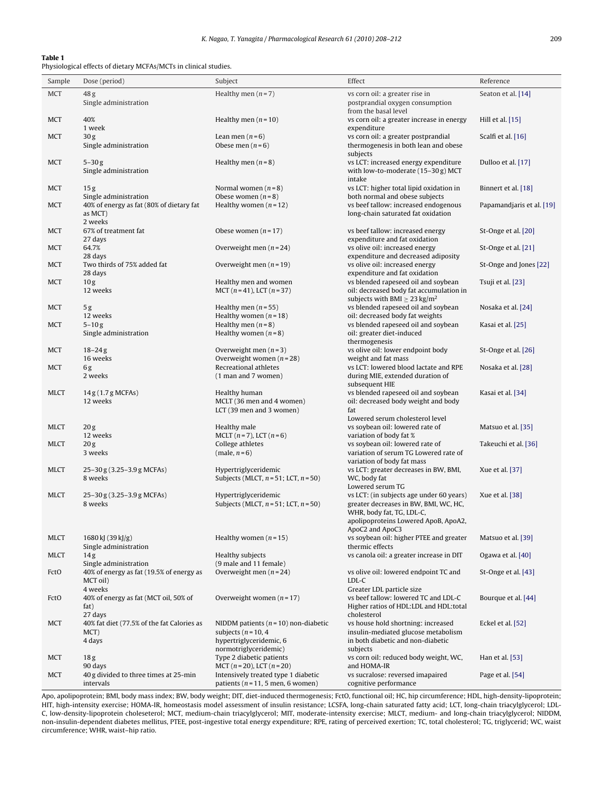#### <span id="page-1-0"></span>**Table 1**

Physiological effects of dietary MCFAs/MCTs in clinical studies.

| Sample      | Dose (period)                                                           | Subject                                                                                                              | Effect                                                                                                                                                                     | Reference                 |
|-------------|-------------------------------------------------------------------------|----------------------------------------------------------------------------------------------------------------------|----------------------------------------------------------------------------------------------------------------------------------------------------------------------------|---------------------------|
| <b>MCT</b>  | 48 g<br>Single administration                                           | Healthy men $(n=7)$                                                                                                  | vs corn oil: a greater rise in<br>postprandial oxygen consumption<br>from the basal level                                                                                  | Seaton et al. [14]        |
| MCT         | 40%<br>1 week                                                           | Healthy men $(n=10)$                                                                                                 | vs corn oil: a greater increase in energy<br>expenditure                                                                                                                   | Hill et al. [15]          |
| <b>MCT</b>  | 30 <sub>g</sub><br>Single administration                                | Lean men $(n=6)$<br>Obese men $(n=6)$                                                                                | vs corn oil: a greater postprandial<br>thermogenesis in both lean and obese                                                                                                | Scalfi et al. [16]        |
| MCT         | $5 - 30g$<br>Single administration                                      | Healthy men $(n=8)$                                                                                                  | subjects<br>vs LCT: increased energy expenditure<br>with low-to-moderate $(15-30g)$ MCT<br>intake                                                                          | Dulloo et al. [17]        |
| MCT         | 15g<br>Single administration                                            | Normal women $(n=8)$<br>Obese women $(n=8)$                                                                          | vs LCT: higher total lipid oxidation in<br>both normal and obese subjects                                                                                                  | Binnert et al. [18]       |
| MCT         | 40% of energy as fat (80% of dietary fat<br>as MCT)<br>2 weeks          | Healthy women $(n=12)$                                                                                               | vs beef tallow: increased endogenous<br>long-chain saturated fat oxidation                                                                                                 | Papamandjaris et al. [19] |
| MCT         | 67% of treatment fat<br>27 days                                         | Obese women $(n=17)$                                                                                                 | vs beef tallow: increased energy<br>expenditure and fat oxidation                                                                                                          | St-Onge et al. [20]       |
| MCT         | 64.7%<br>28 days                                                        | Overweight men $(n=24)$                                                                                              | vs olive oil: increased energy<br>expenditure and decreased adiposity                                                                                                      | St-Onge et al. $[21]$     |
| MCT         | Two thirds of 75% added fat<br>28 days                                  | Overweight men $(n=19)$                                                                                              | vs olive oil: increased energy<br>expenditure and fat oxidation                                                                                                            | St-Onge and Jones [22]    |
| MCT         | 10 <sub>g</sub><br>12 weeks                                             | Healthy men and women<br>MCT $(n=41)$ , LCT $(n=37)$                                                                 | vs blended rapeseed oil and soybean<br>oil: decreased body fat accumulation in<br>subjects with BMI > 23 kg/m <sup>2</sup>                                                 | Tsuji et al. [23]         |
| MCT         | 5g<br>12 weeks                                                          | Healthy men $(n=55)$<br>Healthy women $(n=18)$                                                                       | vs blended rapeseed oil and soybean<br>oil: decreased body fat weights                                                                                                     | Nosaka et al. [24]        |
| MCT         | $5-10g$<br>Single administration                                        | Healthy men $(n=8)$<br>Healthy women $(n=8)$                                                                         | vs blended rapeseed oil and soybean<br>oil: greater diet-induced<br>thermogenesis                                                                                          | Kasai et al. [25]         |
| MCT         | $18 - 24g$<br>16 weeks                                                  | Overweight men $(n=3)$<br>Overweight women $(n=28)$                                                                  | vs olive oil: lower endpoint body<br>weight and fat mass                                                                                                                   | St-Onge et al. [26]       |
| MCT         | 6g<br>2 weeks                                                           | Recreational athletes<br>(1 man and 7 women)                                                                         | vs LCT: lowered blood lactate and RPE<br>during MIE, extended duration of<br>subsequent HIE                                                                                | Nosaka et al. [28]        |
| MLCT        | 14g (1.7 g MCFAs)<br>12 weeks                                           | Healthy human<br>MCLT (36 men and 4 women)<br>LCT (39 men and 3 women)                                               | vs blended rapeseed oil and soybean<br>oil: decreased body weight and body<br>fat<br>Lowered serum cholesterol level                                                       | Kasai et al. [34]         |
| MLCT        | 20 <sub>g</sub>                                                         | Healthy male                                                                                                         | vs soybean oil: lowered rate of                                                                                                                                            | Matsuo et al. [35]        |
| MLCT        | 12 weeks<br>20 g<br>3 weeks                                             | MCLT $(n = 7)$ , LCT $(n = 6)$<br>College athletes<br>$(male, n=6)$                                                  | variation of body fat %<br>vs soybean oil: lowered rate of<br>variation of serum TG Lowered rate of                                                                        | Takeuchi et al. [36]      |
| MLCT        | 25-30 g (3.25-3.9 g MCFAs)<br>8 weeks                                   | Hypertriglyceridemic<br>Subjects (MLCT, $n = 51$ ; LCT, $n = 50$ )                                                   | variation of body fat mass<br>vs LCT: greater decreases in BW, BMI,<br>WC, body fat                                                                                        | Xue et al. [37]           |
| MLCT        | 25-30 g (3.25-3.9 g MCFAs)<br>8 weeks                                   | Hypertriglyceridemic<br>Subjects (MLCT, $n = 51$ ; LCT, $n = 50$ )                                                   | Lowered serum TG<br>vs LCT: (in subjects age under 60 years)<br>greater decreases in BW, BMI, WC, HC,<br>WHR, body fat, TG, LDL-C,<br>apolipoproteins Lowered ApoB, ApoA2, | Xue et al. [38]           |
| <b>MLCT</b> | 1680 kJ (39 kJ/g)<br>Single administration                              | Healthy women $(n = 15)$                                                                                             | ApoC2 and ApoC3<br>vs soybean oil: higher PTEE and greater<br>thermic effects                                                                                              | Matsuo et al. [39]        |
| <b>MLCT</b> | 14 <sub>g</sub><br>Single administration                                | Healthy subjects<br>(9 male and 11 female)                                                                           | vs canola oil: a greater increase in DIT                                                                                                                                   | Ogawa et al. [40]         |
| FctO        | 40% of energy as fat (19.5% of energy as<br>MCT oil)                    | Overweight men $(n=24)$                                                                                              | vs olive oil: lowered endpoint TC and<br>LDL-C                                                                                                                             | St-Onge et al. [43]       |
| FctO        | 4 weeks<br>40% of energy as fat (MCT oil, 50% of<br>fat)                | Overweight women $(n=17)$                                                                                            | Greater LDL particle size<br>vs beef tallow: lowered TC and LDL-C<br>Higher ratios of HDL: LDL and HDL: total<br>cholesterol                                               | Bourque et al. [44]       |
| MCT         | 27 days<br>40% fat diet (77.5% of the fat Calories as<br>MCT)<br>4 days | NIDDM patients $(n = 10)$ non-diabetic<br>subjects ( $n = 10, 4$<br>hypertriglyceridemic, 6<br>normotriglyceridemic) | vs house hold shortning: increased<br>insulin-mediated glucose metabolism<br>in both diabetic and non-diabetic<br>subjects                                                 | Eckel et al. [52]         |
| MCT         | 18 <sub>g</sub><br>90 days                                              | Type 2 diabetic patients<br>MCT $(n = 20)$ , LCT $(n = 20)$                                                          | vs corn oil: reduced body weight, WC,<br>and HOMA-IR                                                                                                                       | Han et al. [53]           |
| MCT         | 40 g divided to three times at 25-min<br>intervals                      | Intensively treated type 1 diabetic<br>patients ( $n = 11$ , 5 men, 6 women)                                         | vs sucralose: reversed imapaired<br>cognitive performance                                                                                                                  | Page et al. [54]          |

Apo, apolipoprotein; BMI, body mass index; BW, body weight; DIT, diet-induced thermogenesis; FctO, functional oil; HC, hip circumference; HDL, high-density-lipoprotein; HIT, high-intensity exercise; HOMA-IR, homeostasis model assessment of insulin resistance; LCSFA, long-chain saturated fatty acid; LCT, long-chain triacylglycerol; LDL-C, low-density-lipoprotein choleseterol; MCT, medium-chain triacylglycerol; MIT, moderate-intensity exercise; MLCT, medium- and long-chain triacylglycerol; NIDDM, non-insulin-dependent diabetes mellitus, PTEE, post-ingestive total energy expenditure; RPE, rating of perceived exertion; TC, total cholesterol; TG, triglycerid; WC, waist circumference; WHR, waist–hip ratio.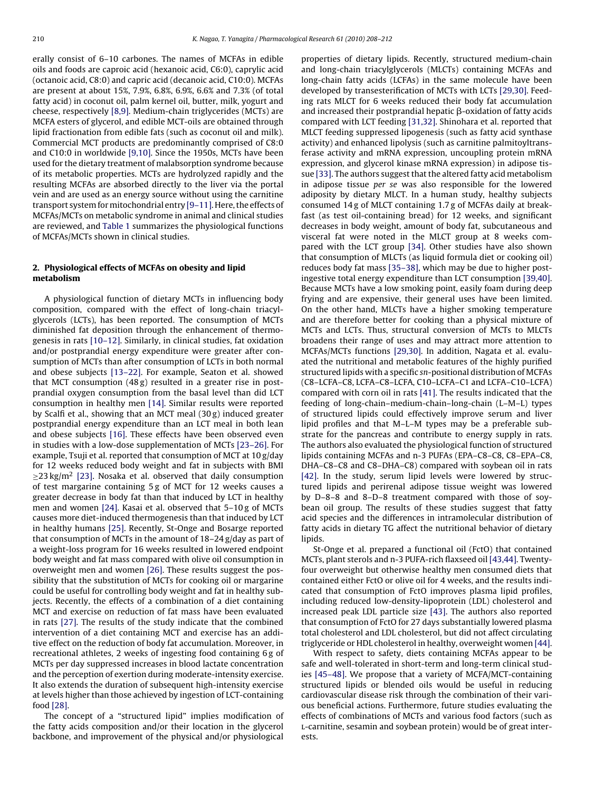erally consist of 6–10 carbones. The names of MCFAs in edible oils and foods are caproic acid (hexanoic acid, C6:0), caprylic acid (octanoic acid, C8:0) and capric acid (decanoic acid, C10:0). MCFAs are present at about 15%, 7.9%, 6.8%, 6.9%, 6.6% and 7.3% (of total fatty acid) in coconut oil, palm kernel oil, butter, milk, yogurt and cheese, respectively [\[8,9\]. M](#page-3-0)edium-chain triglycerides (MCTs) are MCFA esters of glycerol, and edible MCT-oils are obtained through lipid fractionation from edible fats (such as coconut oil and milk). Commercial MCT products are predominantly comprised of C8:0 and C10:0 in worldwide [\[9,10\]. S](#page-3-0)ince the 1950s, MCTs have been used for the dietary treatment of malabsorption syndrome because of its metabolic properties. MCTs are hydrolyzed rapidly and the resulting MCFAs are absorbed directly to the liver via the portal vein and are used as an energy source without using the carnitine transport system for mitochondrial entry [9-11]. Here, the effects of MCFAs/MCTs on metabolic syndrome in animal and clinical studies are reviewed, and [Table 1](#page-1-0) summarizes the physiological functions of MCFAs/MCTs shown in clinical studies.

### **2. Physiological effects of MCFAs on obesity and lipid metabolism**

A physiological function of dietary MCTs in influencing body composition, compared with the effect of long-chain triacylglycerols (LCTs), has been reported. The consumption of MCTs diminished fat deposition through the enhancement of thermogenesis in rats [\[10–12\]. S](#page-3-0)imilarly, in clinical studies, fat oxidation and/or postprandial energy expenditure were greater after consumption of MCTs than after consumption of LCTs in both normal and obese subjects [\[13–22\].](#page-3-0) For example, Seaton et al. showed that MCT consumption (48 g) resulted in a greater rise in postprandial oxygen consumption from the basal level than did LCT consumption in healthy men [\[14\].](#page-3-0) Similar results were reported by Scalfi et al., showing that an MCT meal (30 g) induced greater postprandial energy expenditure than an LCT meal in both lean and obese subjects [\[16\]. T](#page-3-0)hese effects have been observed even in studies with a low-dose supplementation of MCTs [\[23–26\]. F](#page-4-0)or example, Tsuji et al. reported that consumption of MCT at 10 g/day for 12 weeks reduced body weight and fat in subjects with BMI  $\geq$ 23 kg/m<sup>2</sup> [\[23\].](#page-4-0) Nosaka et al. observed that daily consumption of test margarine containing 5 g of MCT for 12 weeks causes a greater decrease in body fat than that induced by LCT in healthy men and women [\[24\]. K](#page-4-0)asai et al. observed that 5–10 g of MCTs causes more diet-induced thermogenesis than that induced by LCT in healthy humans [\[25\].](#page-4-0) Recently, St-Onge and Bosarge reported that consumption of MCTs in the amount of 18–24 g/day as part of a weight-loss program for 16 weeks resulted in lowered endpoint body weight and fat mass compared with olive oil consumption in overweight men and women [\[26\]. T](#page-4-0)hese results suggest the possibility that the substitution of MCTs for cooking oil or margarine could be useful for controlling body weight and fat in healthy subjects. Recently, the effects of a combination of a diet containing MCT and exercise on reduction of fat mass have been evaluated in rats [\[27\]. T](#page-4-0)he results of the study indicate that the combined intervention of a diet containing MCT and exercise has an additive effect on the reduction of body fat accumulation. Moreover, in recreational athletes, 2 weeks of ingesting food containing 6 g of MCTs per day suppressed increases in blood lactate concentration and the perception of exertion during moderate-intensity exercise. It also extends the duration of subsequent high-intensity exercise at levels higher than those achieved by ingestion of LCT-containing food [\[28\].](#page-4-0)

The concept of a "structured lipid" implies modification of the fatty acids composition and/or their location in the glycerol backbone, and improvement of the physical and/or physiological properties of dietary lipids. Recently, structured medium-chain and long-chain triacylglycerols (MLCTs) containing MCFAs and long-chain fatty acids (LCFAs) in the same molecule have been developed by transesterification of MCTs with LCTs [\[29,30\]. F](#page-4-0)eeding rats MLCT for 6 weeks reduced their body fat accumulation and increased their postprandial hepatic  $\beta$ -oxidation of fatty acids compared with LCT feeding [\[31,32\]. S](#page-4-0)hinohara et al. reported that MLCT feeding suppressed lipogenesis (such as fatty acid synthase activity) and enhanced lipolysis (such as carnitine palmitoyltransferase activity and mRNA expression, uncoupling protein mRNA expression, and glycerol kinase mRNA expression) in adipose tissue [\[33\]. T](#page-4-0)he authors suggest that the altered fatty acid metabolism in adipose tissue per se was also responsible for the lowered adiposity by dietary MLCT. In a human study, healthy subjects consumed 14 g of MLCT containing 1.7 g of MCFAs daily at breakfast (as test oil-containing bread) for 12 weeks, and significant decreases in body weight, amount of body fat, subcutaneous and visceral fat were noted in the MLCT group at 8 weeks compared with the LCT group [\[34\].](#page-4-0) Other studies have also shown that consumption of MLCTs (as liquid formula diet or cooking oil) reduces body fat mass [\[35–38\], w](#page-4-0)hich may be due to higher postingestive total energy expenditure than LCT consumption [\[39,40\].](#page-4-0) Because MCTs have a low smoking point, easily foam during deep frying and are expensive, their general uses have been limited. On the other hand, MLCTs have a higher smoking temperature and are therefore better for cooking than a physical mixture of MCTs and LCTs. Thus, structural conversion of MCTs to MLCTs broadens their range of uses and may attract more attention to MCFAs/MCTs functions [\[29,30\].](#page-4-0) In addition, Nagata et al. evaluated the nutritional and metabolic features of the highly purified structured lipids with a specific sn-positional distribution of MCFAs (C8–LCFA–C8, LCFA–C8–LCFA, C10–LCFA–C1 and LCFA–C10–LCFA) compared with corn oil in rats [\[41\]. T](#page-4-0)he results indicated that the feeding of long-chain–medium-chain–long-chain (L–M–L) types of structured lipids could effectively improve serum and liver lipid profiles and that M–L–M types may be a preferable substrate for the pancreas and contribute to energy supply in rats. The authors also evaluated the physiological function of structured lipids containing MCFAs and n-3 PUFAs (EPA–C8–C8, C8–EPA–C8, DHA–C8–C8 and C8–DHA–C8) compared with soybean oil in rats [\[42\].](#page-4-0) In the study, serum lipid levels were lowered by structured lipids and perirenal adipose tissue weight was lowered by D–8–8 and 8–D–8 treatment compared with those of soybean oil group. The results of these studies suggest that fatty acid species and the differences in intramolecular distribution of fatty acids in dietary TG affect the nutritional behavior of dietary lipids.

St-Onge et al. prepared a functional oil (FctO) that contained MCTs, plant sterols and n-3 PUFA-rich flaxseed oil [\[43,44\]. T](#page-4-0)wentyfour overweight but otherwise healthy men consumed diets that contained either FctO or olive oil for 4 weeks, and the results indicated that consumption of FctO improves plasma lipid profiles, including reduced low-density-lipoprotein (LDL) cholesterol and increased peak LDL particle size [\[43\].](#page-4-0) The authors also reported that consumption of FctO for 27 days substantially lowered plasma total cholesterol and LDL cholesterol, but did not affect circulating triglyceride or HDL cholesterol in healthy, overweight women [\[44\].](#page-4-0)

With respect to safety, diets containing MCFAs appear to be safe and well-tolerated in short-term and long-term clinical studies [\[45–48\]. W](#page-4-0)e propose that a variety of MCFA/MCT-containing structured lipids or blended oils would be useful in reducing cardiovascular disease risk through the combination of their various beneficial actions. Furthermore, future studies evaluating the effects of combinations of MCTs and various food factors (such as l-carnitine, sesamin and soybean protein) would be of great interests.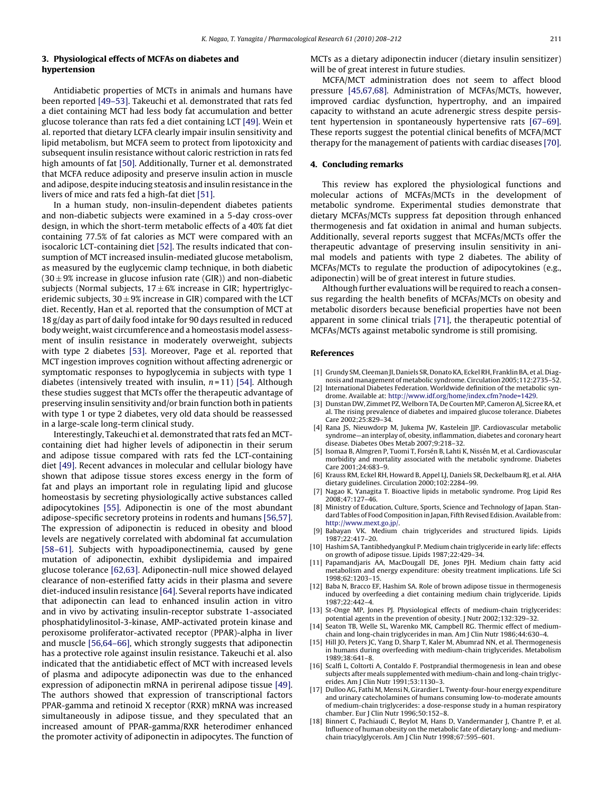#### <span id="page-3-0"></span>**3. Physiological effects of MCFAs on diabetes and hypertension**

Antidiabetic properties of MCTs in animals and humans have been reported [\[49–53\]. T](#page-4-0)akeuchi et al. demonstrated that rats fed a diet containing MCT had less body fat accumulation and better glucose tolerance than rats fed a diet containing LCT [\[49\]. W](#page-4-0)ein et al. reported that dietary LCFA clearly impair insulin sensitivity and lipid metabolism, but MCFA seem to protect from lipotoxicity and subsequent insulin resistance without caloric restriction in rats fed high amounts of fat [\[50\]. A](#page-4-0)dditionally, Turner et al. demonstrated that MCFA reduce adiposity and preserve insulin action in muscle and adipose, despite inducing steatosis and insulin resistance in the livers of mice and rats fed a high-fat diet [\[51\].](#page-4-0)

In a human study, non-insulin-dependent diabetes patients and non-diabetic subjects were examined in a 5-day cross-over design, in which the short-term metabolic effects of a 40% fat diet containing 77.5% of fat calories as MCT were compared with an isocaloric LCT-containing diet [\[52\]. T](#page-4-0)he results indicated that consumption of MCT increased insulin-mediated glucose metabolism, as measured by the euglycemic clamp technique, in both diabetic  $(30 \pm 9\%)$  increase in glucose infusion rate (GIR)) and non-diabetic subjects (Normal subjects,  $17 \pm 6\%$  increase in GIR; hypertriglyceridemic subjects,  $30 \pm 9\%$  increase in GIR) compared with the LCT diet. Recently, Han et al. reported that the consumption of MCT at 18 g/day as part of daily food intake for 90 days resulted in reduced body weight, waist circumference and a homeostasis model assessment of insulin resistance in moderately overweight, subjects with type 2 diabetes [\[53\].](#page-4-0) Moreover, Page et al. reported that MCT ingestion improves cognition without affecting adrenergic or symptomatic responses to hypoglycemia in subjects with type 1 diabetes (intensively treated with insulin,  $n = 11$ ) [\[54\].](#page-4-0) Although these studies suggest that MCTs offer the therapeutic advantage of preserving insulin sensitivity and/or brain function both in patients with type 1 or type 2 diabetes, very old data should be reassessed in a large-scale long-term clinical study.

Interestingly, Takeuchi et al. demonstrated that rats fed an MCTcontaining diet had higher levels of adiponectin in their serum and adipose tissue compared with rats fed the LCT-containing diet [\[49\]. R](#page-4-0)ecent advances in molecular and cellular biology have shown that adipose tissue stores excess energy in the form of fat and plays an important role in regulating lipid and glucose homeostasis by secreting physiologically active substances called adipocytokines [\[55\].](#page-4-0) Adiponectin is one of the most abundant adipose-specific secretory proteins in rodents and humans [\[56,57\].](#page-4-0) The expression of adiponectin is reduced in obesity and blood levels are negatively correlated with abdominal fat accumulation [58-61]. Subjects with hypoadiponectinemia, caused by gene mutation of adiponectin, exhibit dyslipidemia and impaired glucose tolerance [\[62,63\]. A](#page-4-0)diponectin-null mice showed delayed clearance of non-esterified fatty acids in their plasma and severe diet-induced insulin resistance [\[64\]. S](#page-4-0)everal reports have indicated that adiponectin can lead to enhanced insulin action in vitro and in vivo by activating insulin-receptor substrate 1-associated phosphatidylinositol-3-kinase, AMP-activated protein kinase and peroxisome proliferator-activated receptor (PPAR)-alpha in liver and muscle [\[56,64–66\], w](#page-4-0)hich strongly suggests that adiponectin has a protective role against insulin resistance. Takeuchi et al. also indicated that the antidiabetic effect of MCT with increased levels of plasma and adipocyte adiponectin was due to the enhanced expression of adiponectin mRNA in perirenal adipose tissue [\[49\].](#page-4-0) The authors showed that expression of transcriptional factors PPAR-gamma and retinoid X receptor (RXR) mRNA was increased simultaneously in adipose tissue, and they speculated that an increased amount of PPAR-gamma/RXR heterodimer enhanced the promoter activity of adiponectin in adipocytes. The function of MCTs as a dietary adiponectin inducer (dietary insulin sensitizer) will be of great interest in future studies.

MCFA/MCT administration does not seem to affect blood pressure [\[45,67,68\].](#page-4-0) Administration of MCFAs/MCTs, however, improved cardiac dysfunction, hypertrophy, and an impaired capacity to withstand an acute adrenergic stress despite persistent hypertension in spontaneously hypertensive rats [\[67–69\].](#page-4-0) These reports suggest the potential clinical benefits of MCFA/MCT therapy for the management of patients with cardiac diseases [\[70\].](#page-4-0)

#### **4. Concluding remarks**

This review has explored the physiological functions and molecular actions of MCFAs/MCTs in the development of metabolic syndrome. Experimental studies demonstrate that dietary MCFAs/MCTs suppress fat deposition through enhanced thermogenesis and fat oxidation in animal and human subjects. Additionally, several reports suggest that MCFAs/MCTs offer the therapeutic advantage of preserving insulin sensitivity in animal models and patients with type 2 diabetes. The ability of MCFAs/MCTs to regulate the production of adipocytokines (e.g., adiponectin) will be of great interest in future studies.

Although further evaluations will be required to reach a consensus regarding the health benefits of MCFAs/MCTs on obesity and metabolic disorders because beneficial properties have not been apparent in some clinical trials [\[71\], t](#page-4-0)he therapeutic potential of MCFAs/MCTs against metabolic syndrome is still promising.

#### **References**

- [1] Grundy SM, Cleeman JI, Daniels SR, Donato KA, Eckel RH, Franklin BA, et al. Diagnosis and management of metabolic syndrome. Circulation 2005;112:2735–52.
- [2] International Diabetes Federation. Worldwide definition of the metabolic syndrome. Available at: [http://www.idf.org/home/index.cfm?node=1429.](http://www.idf.org/home/index.cfm?node=1429)
- Dunstan DW, Zimmet PZ, Welborn TA, De Courten MP, Cameron AJ, Sicree RA, et al. The rising prevalence of diabetes and impaired glucose tolerance. Diabetes Care 2002;25:829–34.
- [4] Rana JS, Nieuwdorp M, Jukema JW, Kastelein JJP. Cardiovascular metabolic syndrome—an interplay of, obesity, inflammation, diabetes and coronary heart disease. Diabetes Obes Metab 2007;9:218–32.
- [5] Isomaa B, Almgren P, Tuomi T, Forsén B, Lahti K, Nissén M, et al. Cardiovascular morbidity and mortality associated with the metabolic syndrome. Diabetes Care 2001;24:683–9.
- [6] Krauss RM, Eckel RH, Howard B, Appel LJ, Daniels SR, Deckelbaum RJ, et al. AHA dietary guidelines. Circulation 2000;102:2284–99.
- [7] Nagao K, Yanagita T. Bioactive lipids in metabolic syndrome. Prog Lipid Res 2008;47:127–46.
- [8] Ministry of Education, Culture, Sports, Science and Technology of Japan. Standard Tables of Food Composition in Japan, Fifth Revised Edision. Available from: [http://www.mext.go.jp/.](http://www.mext.go.jp/)
- [9] Babayan VK. Medium chain triglycerides and structured lipids. Lipids 1987;22:417–20.
- [10] Hashim SA, Tantibhedyangkul P. Medium chain triglyceride in early life: effects on growth of adipose tissue. Lipids 1987;22:429–34.
- [11] Papamandjaris AA, MacDougall DE, Jones PJH. Medium chain fatty acid metabolism and energy expenditure: obesity treatment implications. Life Sci 1998;62:1203–15.
- [12] Baba N, Bracco EF, Hashim SA. Role of brown adipose tissue in thermogenesis induced by overfeeding a diet containing medium chain triglyceride. Lipids 1987;22:442–4.
- [13] St-Onge MP, Jones PJ. Physiological effects of medium-chain triglycerides: potential agents in the prevention of obesity. J Nutr 2002;132:329–32.
- Seaton TB, Welle SL, Warenko MK, Campbell RG. Thermic effect of mediumchain and long-chain triglycerides in man. Am J Clin Nutr 1986;44:630–4.
- [15] Hill JO, Peters JC, Yang D, Sharp T, Kaler M, Abumrad NN, et al. Thermogenesis in humans during overfeeding with medium-chain triglycerides. Metabolism 1989;38:641–8.
- [16] Scalfi L, Coltorti A, Contaldo F. Postprandial thermogenesis in lean and obese subjects after meals supplemented with medium-chain and long-chain triglycerides. Am J Clin Nutr 1991;53:1130–3.
- [17] Dulloo AG, Fathi M, Mensi N, Girardier L. Twenty-four-hour energy expenditure and urinary catecholamines of humans consuming low-to-moderate amounts of medium-chain triglycerides: a dose-response study in a human respiratory chamber. Eur J Clin Nutr 1996;50:152–8.
- [18] Binnert C, Pachiaudi C, Beylot M, Hans D, Vandermander J, Chantre P, et al. Influence of human obesity on the metabolic fate of dietary long- and mediumchain triacylglycerols. Am J Clin Nutr 1998;67:595–601.